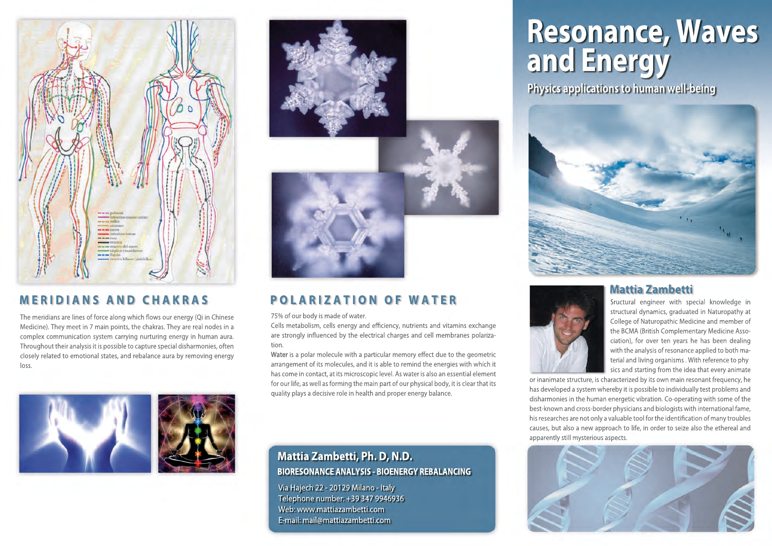

## **MERIDIANS AND CHAKRAS**

The meridians are lines of force along which flows our energy (Qi in Chinese Medicine). They meet in 7 main points, the chakras. They are real nodes in a complex communication system carrying nurturing energy in human aura. Throughout their analysis it is possible to capture special disharmonies, often closely related to emotional states, and rebalance aura by removing energy loss.







## **POLARIZATION OF WATER**

75% of our body is made of water.

Cells metabolism, cells energy and efficiency, nutrients and vitamins exchange are strongly influenced by the electrical charges and cell membranes polarization.

Water is a polar molecule with a particular memory effect due to the geometric arrangement of its molecules, and it is able to remind the energies with which it has come in contact, at its microscopic level. As water is also an essential element for our life, as well as forming the main part of our physical body, it is clear that its quality plays a decisive role in health and proper energy balance.

#### **BIORESONANCE ANALYSIS - BIOENERGY REBALANCING Mattia Zambetti, Ph. D, N.D.**

Via Hajech 22 - 20129 Milano - Italy Telephone number: +39 347 9946936 Web: www.mattiazambetti.com E-mail: mail@mattiazambetti.com

# **Resonance, Waves and Energy**

**Physics applications to human well-being**



#### **Mattia Zambetti**



Sructural engineer with special knowledge in structural dynamics, graduated in Naturopathy at College of Naturopathic Medicine and member of the BCMA (British Complementary Medicine Association), for over ten years he has been dealing with the analysis of resonance applied to both material and living organisms . With reference to phy sics and starting from the idea that every animate

or inanimate structure, is characterized by its own main resonant frequency, he has developed a system whereby it is possible to individually test problems and disharmonies in the human energetic vibration. Co-operating with some of the best-known and cross-border physicians and biologists with international fame, his researches are not only a valuable tool for the identification of many troubles causes, but also a new approach to life, in order to seize also the ethereal and apparently still mysterious aspects.